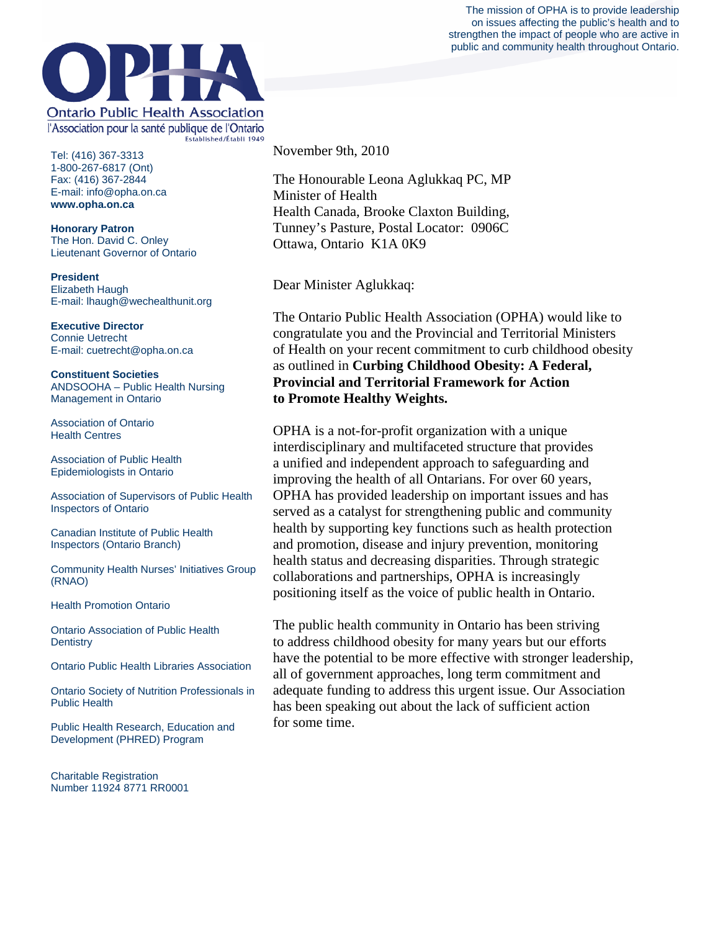



Tel: (416) 367-3313 1-800-267-6817 (Ont) Fax: (416) 367-2844 E-mail: info@opha.on.ca **www.opha.on.ca** 

**Honorary Patron**  The Hon. David C. Onley Lieutenant Governor of Ontario

**President**  Elizabeth Haugh E-mail: lhaugh@wechealthunit.org

**Executive Director**  Connie Uetrecht E-mail: cuetrecht@opha.on.ca

**Constituent Societies**  ANDSOOHA – Public Health Nursing Management in Ontario

Association of Ontario Health Centres

Association of Public Health Epidemiologists in Ontario

Association of Supervisors of Public Health Inspectors of Ontario

Canadian Institute of Public Health Inspectors (Ontario Branch)

Community Health Nurses' Initiatives Group (RNAO)

Health Promotion Ontario

Ontario Association of Public Health **Dentistry** 

Ontario Public Health Libraries Association

Ontario Society of Nutrition Professionals in Public Health

Public Health Research, Education and Development (PHRED) Program

Charitable Registration Number 11924 8771 RR0001 November 9th, 2010

The Honourable Leona Aglukkaq PC, MP Minister of Health Health Canada, Brooke Claxton Building, Tunney's Pasture, Postal Locator: 0906C Ottawa, Ontario K1A 0K9

Dear Minister Aglukkaq:

The Ontario Public Health Association (OPHA) would like to congratulate you and the Provincial and Territorial Ministers of Health on your recent commitment to curb childhood obesity as outlined in **Curbing Childhood Obesity: A Federal, Provincial and Territorial Framework for Action to Promote Healthy Weights.**

OPHA is a not-for-profit organization with a unique interdisciplinary and multifaceted structure that provides a unified and independent approach to safeguarding and improving the health of all Ontarians. For over 60 years, OPHA has provided leadership on important issues and has served as a catalyst for strengthening public and community health by supporting key functions such as health protection and promotion, disease and injury prevention, monitoring health status and decreasing disparities. Through strategic collaborations and partnerships, OPHA is increasingly positioning itself as the voice of public health in Ontario.

The public health community in Ontario has been striving to address childhood obesity for many years but our efforts have the potential to be more effective with stronger leadership, all of government approaches, long term commitment and adequate funding to address this urgent issue. Our Association has been speaking out about the lack of sufficient action for some time.